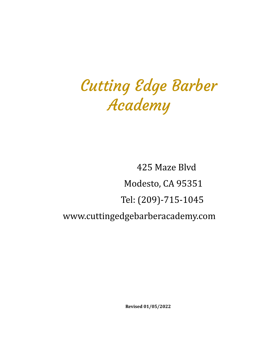# Cutting Edge Barber Academy

425 Maze Blvd Modesto, CA 95351 Tel: (209)-715-1045 www.cuttingedgebarberacademy.com

**Revised 01/05/2022**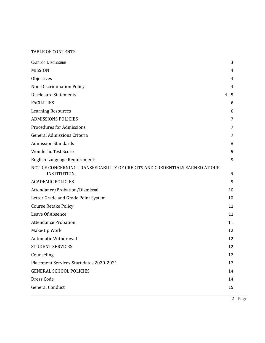## TABLE OF CONTENTS

| <b>CATALOG DISCLOSURE</b>                                                                  | 3       |
|--------------------------------------------------------------------------------------------|---------|
| <b>MISSION</b>                                                                             | 4       |
| Objectives                                                                                 | 4       |
| Non-Discrimination Policy                                                                  | 4       |
| <b>Disclosure Statements</b>                                                               | $4 - 5$ |
| <b>FACILITIES</b>                                                                          | 6       |
| <b>Learning Resources</b>                                                                  | 6       |
| <b>ADMISSIONS POLICIES</b>                                                                 | 7       |
| <b>Procedures for Admissions</b>                                                           | 7       |
| General Admissions Criteria                                                                | 7       |
| <b>Admission Standards</b>                                                                 | 8       |
| <b>Wonderlic Test Score</b>                                                                | 9       |
| English Language Requirement:                                                              | 9       |
| NOTICE CONCERNING TRANSFERABILITY OF CREDITS AND CREDENTIALS EARNED AT OUR<br>INSTITUTION. | 9       |
| <b>ACADEMIC POLICIES</b>                                                                   | 9       |
| Attendance/Probation/Dismissal                                                             | 10      |
| Letter Grade and Grade Point System                                                        | 10      |
| <b>Course Retake Policy</b>                                                                | 11      |
| Leave Of Absence                                                                           | 11      |
| <b>Attendance Probation</b>                                                                | 11      |
| Make-Up Work                                                                               | 12      |
| Automatic Withdrawal                                                                       | 12      |
| <b>STUDENT SERVICES</b>                                                                    | 12      |
| Counseling                                                                                 | 12      |
| Placement Services-Start dates 2020-2021                                                   | 12      |
| <b>GENERAL SCHOOL POLICIES</b>                                                             | 14      |
| Dress Code                                                                                 | 14      |
| <b>General Conduct</b>                                                                     | 15      |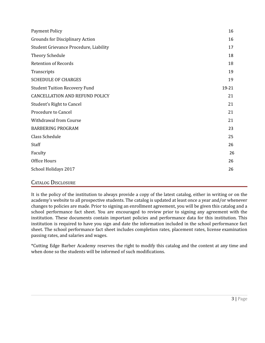| <b>Payment Policy</b>                  | 16    |
|----------------------------------------|-------|
| <b>Grounds for Disciplinary Action</b> | 16    |
| Student Grievance Procedure, Liability | 17    |
| Theory Schedule                        | 18    |
| <b>Retention of Records</b>            | 18    |
| Transcripts                            | 19    |
| <b>SCHEDULE OF CHARGES</b>             | 19    |
| <b>Student Tuition Recovery Fund</b>   | 19-21 |
| <b>CANCELLATION AND REFUND POLICY</b>  | 21    |
| Student's Right to Cancel              | 21    |
| Procedure to Cancel                    | 21    |
| Withdrawal from Course                 | 21    |
| <b>BARBERING PROGRAM</b>               | 23    |
| Class Schedule                         | 25    |
| Staff                                  | 26    |
| Faculty                                | 26    |
| Office Hours                           | 26    |
| School Holidays 2017                   | 26    |
| $\sqrt{2}$<br>$\mathbf{r}$             |       |

## <span id="page-2-0"></span>CATALOG DISCLOSURE

It is the policy of the institution to always provide a copy of the latest catalog, either in writing or on the academy's website to all prospective students. The catalog is updated at least once a year and/or whenever changes to policies are made. Prior to signing an enrollment agreement, you will be given this catalog and a school performance fact sheet. You are encouraged to review prior to signing any agreement with the institution. These documents contain important policies and performance data for this institution. This institution is required to have you sign and date the information included in the school performance fact sheet. The school performance fact sheet includes completion rates, placement rates, license examination passing rates, and salaries and wages.

\*Cutting Edge Barber Academy reserves the right to modify this catalog and the content at any time and when done so the students will be informed of such modifications.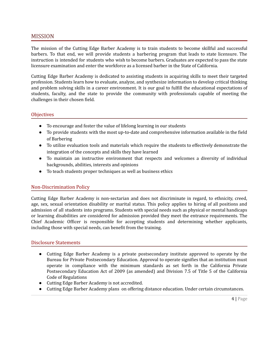## <span id="page-3-0"></span>MISSION

The mission of the Cutting Edge Barber Academy is to train students to become skillful and successful barbers. To that end, we will provide students a barbering program that leads to state licensure. The instruction is intended for students who wish to become barbers. Graduates are expected to pass the state licensure examination and enter the workforce as a licensed barber in the State of California.

Cutting Edge Barber Academy is dedicated to assisting students in acquiring skills to meet their targeted profession. Students learn how to evaluate, analyze, and synthesize information to develop critical thinking and problem solving skills in a career environment. It is our goal to fulfill the educational expectations of students, faculty, and the state to provide the community with professionals capable of meeting the challenges in their chosen field.

## <span id="page-3-1"></span>**Objectives**

- To encourage and foster the value of lifelong learning in our students
- To provide students with the most up-to-date and comprehensive information available in the field of Barbering
- To utilize evaluation tools and materials which require the students to effectively demonstrate the integration of the concepts and skills they have learned
- To maintain an instructive environment that respects and welcomes a diversity of individual backgrounds, abilities, interests and opinions
- To teach students proper techniques as well as business ethics

## <span id="page-3-2"></span>Non-Discrimination Policy

Cutting Edge Barber Academy is non-sectarian and does not discriminate in regard, to ethnicity, creed, age, sex, sexual orientation disability or marital status. This policy applies to hiring of all positions and admission of all students into programs. Students with special needs such as physical or mental handicaps or learning disabilities are considered for admission provided they meet the entrance requirements. The Chief Academic Officer is responsible for accepting students and determining whether applicants, including those with special needs, can benefit from the training.

## <span id="page-3-3"></span>Disclosure Statements

- Cutting Edge Barber Academy is a private postsecondary institute approved to operate by the Bureau for Private Postsecondary Education. Approval to operate signifies that an institution must operate in compliance with the minimum standards as set forth in the California Private Postsecondary Education Act of 2009 (as amended) and Division 7.5 of Title 5 of the California Code of Regulations
- Cutting Edge Barber Academy is not accredited.
- Cutting Edge Barber Academy plans on offering distance education. Under certain circumstances.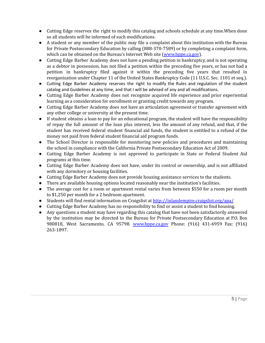- Cutting Edge reserves the right to modify this catalog and schools schedule at any time.When done so all students will be informed of such modifications.
- A student or any member of the public may file a complaint about this institution with the Bureau for Private Postsecondary Education by calling (888-370-7589) or by completing a complaint form, which can be obtained on the Bureau's Internet Web site [\(www.bppe.ca.gov](http://www.bppe.ca.gov)).
- Cutting Edge Barber Academy does not have a pending petition in bankruptcy, and is not operating as a debtor in possession, has not filed a petition within the preceding five years, or has not had a petition in bankruptcy filed against it within the preceding five years that resulted in reorganization under Chapter 11 of the United States Bankruptcy Code (11 U.S.C. Sec. 1101 et seq.).
- Cutting Edge Barber Academy reserves the right to modify the Rules and regulation of the student catalog and Guidelines at any time, and that I will be advised of any and all modifications.
- Cutting Edge Barber Academy does not recognize acquired life experience and prior experiential learning as a consideration for enrollment or granting credit towards any program.
- Cutting Edge Barber Academy does not have an articulation agreement or transfer agreement with any other college or university at the present time.
- If student obtains a loan to pay for an educational program, the student will have the responsibility of repay the full amount of the loan plus interest, less the amount of any refund, and that, if the student has received federal student financial aid funds, the student is entitled to a refund of the money not paid from federal student financial aid program funds.
- The School Director is responsible for monitoring new policies and procedures and maintaining the school in compliance with the California Private Postsecondary Education Act of 2009.
- Cutting Edge Barber Academy is not approved to participate in State or Federal Student Aid programs at this time.
- Cutting Edge Barber Academy does not have, under its control or ownership, and is not affiliated with any dormitory or housing facilities.
- Cutting Edge Barber Academy does not provide housing assistance services to the students.
- There are available housing options located reasonably near the institution's facilities.
- The average cost for a room or apartment rental varies from between \$550 for a room per month to \$1,250 per month for a 2 bedroom apartment.
- Students will find rental information on Craigslist at <http://inlandempire.craigslist.org/apa/>
- Cutting Edge Barber Academy has no responsibility to find or assist a student to find housing.
- <span id="page-4-0"></span>● Any questions a student may have regarding this catalog that have not been satisfactorily answered by the institution may be directed to the Bureau for Private Postsecondary Education at P.O. Box 980818, West Sacramento, CA 95798. [www.bppe.ca.gov](http://www.bppe.ca.gov) Phone: (916) 431-6959 Fax: (916) 263-1897.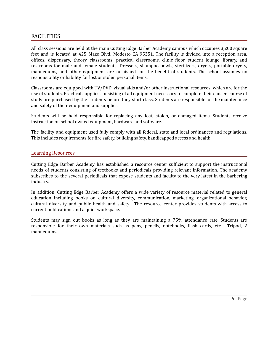## FACILITIES

All class sessions are held at the main Cutting Edge Barber Academy campus which occupies 3,200 square feet and is located at 425 Maze Blvd, Modesto CA 95351. The facility is divided into a reception area, offices, dispensary, theory classrooms, practical classrooms, clinic floor, student lounge, library, and restrooms for male and female students. Dressers, shampoo bowls, sterilizers, dryers, portable dryers, mannequins, and other equipment are furnished for the benefit of students. The school assumes no responsibility or liability for lost or stolen personal items.

Classrooms are equipped with TV/DVD, visual aids and/or other instructional resources; which are for the use of students. Practical supplies consisting of all equipment necessary to complete their chosen course of study are purchased by the students before they start class. Students are responsible for the maintenance and safety of their equipment and supplies.

Students will be held responsible for replacing any lost, stolen, or damaged items. Students receive instruction on school owned equipment, hardware and software.

The facility and equipment used fully comply with all federal, state and local ordinances and regulations. This includes requirements for fire safety, building safety, handicapped access and health.

## <span id="page-5-0"></span>Learning Resources

Cutting Edge Barber Academy has established a resource center sufficient to support the instructional needs of students consisting of textbooks and periodicals providing relevant information. The academy subscribes to the several periodicals that expose students and faculty to the very latest in the barbering industry.

In addition, Cutting Edge Barber Academy offers a wide variety of resource material related to general education including books on cultural diversity, communication, marketing, organizational behavior, cultural diversity and public health and safety. The resource center provides students with access to current publications and a quiet workspace.

Students may sign out books as long as they are maintaining a 75% attendance rate. Students are responsible for their own materials such as pens, pencils, notebooks, flash cards, etc. Tripod, 2 mannequins.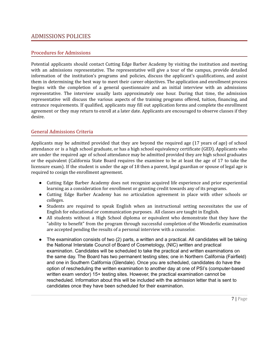## <span id="page-6-0"></span>ADMISSIONS POLICIES

## <span id="page-6-1"></span>Procedures for Admissions

Potential applicants should contact Cutting Edge Barber Academy by visiting the institution and meeting with an admissions representative. The representative will give a tour of the campus, provide detailed information of the institution's programs and policies, discuss the applicant's qualifications, and assist them in determining the best way to meet their career objectives. The application and enrollment process begins with the completion of a general questionnaire and an initial interview with an admissions representative. The interview usually lasts approximately one hour. During that time, the admission representative will discuss the various aspects of the training programs offered, tuition, financing, and entrance requirements. If qualified, applicants may fill out application forms and complete the enrollment agreement or they may return to enroll at a later date. Applicants are encouraged to observe classes if they desire.

## <span id="page-6-2"></span>General Admissions Criteria

Applicants may be admitted provided that they are beyond the required age (17 years of age) of school attendance or is a high school graduate, or has a high school equivalency certificate (GED). Applicants who are under the required age of school attendance may be admitted provided they are high school graduates or the equivalent (California State Board requires the examinee to be at least the age of 17 to take the licensure exam). If the student is under the age of 18 then a parent, legal guardian or spouse of legal age is required to cosign the enrollment agreement.

- Cutting Edge Barber Academy does not recognize acquired life experience and prior experiential learning as a consideration for enrollment or granting credit towards any of its programs.
- Cutting Edge Barber Academy has no articulation agreement in place with other schools or colleges.
- Students are required to speak English when an instructional setting necessitates the use of English for educational or communication purposes. All classes are taught in English.
- All students without a High School diploma or equivalent who demonstrate that they have the "ability to benefit" from the program through successful completion of the Wonderlic examination are accepted pending the results of a personal interview with a counselor.
- <span id="page-6-3"></span>• The examination consists of two (2) parts, a written and a practical. All candidates will be taking the National Interstate Council of Board of Cosmetology, (NIC) written and practical examination. Candidates will be scheduled to take the practical and written examinations on the same day. The Board has two permanent testing sites; one in Northern California (Fairfield) and one in Southern California (Glendale). Once you are scheduled, candidates do have the option of rescheduling the written examination to another day at one of PSI's (computer-based written exam vendor) 15+ testing sites. However, the practical examination cannot be rescheduled. Information about this will be included with the admission letter that is sent to candidates once they have been scheduled for their examination.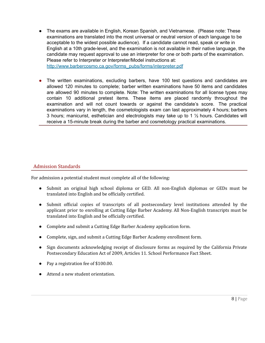● The exams are available in English, Korean Spanish, and Vietnamese. (Please note: These examinations are translated into the most universal or neutral version of each language to be acceptable to the widest possible audience). If a candidate cannot read, speak or write in English at a 10th grade-level, and the examination is not available in their native language, the candidate may request approval to use an interpreter for one or both parts of the examination. Please refer to Interpreter or Interpreter/Model instructions at: [http://www.barbercosmo.ca.gov/forms\\_pubs/forms/interpreter.pdf](http://www.barbercosmo.ca.gov/forms_pubs/forms/interpreter.pdf)

• The written examinations, excluding barbers, have 100 test questions and candidates are allowed 120 minutes to complete; barber written examinations have 50 items and candidates are allowed 90 minutes to complete. Note: The written examinations for all license types may contain 10 additional pretest items. These items are placed randomly throughout the examination and will not count towards or against the candidate's score. The practical examinations vary in length, the cosmetologists exam can last approximately 4 hours; barbers 3 hours; manicurist, esthetician and electrologists may take up to 1 ½ hours. Candidates will receive a 15-minute break during the barber and cosmetology practical examinations.

## Admission Standards

For admission a potential student must complete all of the following:

- Submit an original high school diploma or GED. All non-English diplomas or GEDs must be translated into English and be officially certified.
- Submit official copies of transcripts of all postsecondary level institutions attended by the applicant prior to enrolling at Cutting Edge Barber Academy. All Non-English transcripts must be translated into English and be officially certified.
- Complete and submit a Cutting Edge Barber Academy application form.
- Complete, sign, and submit a Cutting Edge Barber Academy enrollment form.
- Sign documents acknowledging receipt of disclosure forms as required by the California Private Postsecondary Education Act of 2009, Articles 11. School Performance Fact Sheet.
- Pay a registration fee of \$100.00.
- Attend a new student orientation.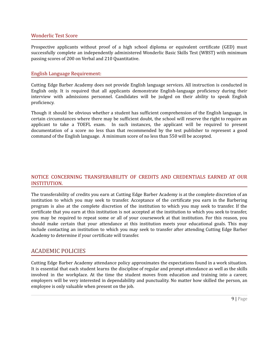## <span id="page-8-0"></span>Wonderlic Test Score

Prospective applicants without proof of a high school diploma or equivalent certificate (GED) must successfully complete an independently administered Wonderlic Basic Skills Test (WBST) with minimum passing scores of 200 on Verbal and 210 Quantitative.

## <span id="page-8-1"></span>English Language Requirement:

Cutting Edge Barber Academy does not provide English language services. All instruction is conducted in English only. It is required that all applicants demonstrate English-language proficiency during their interview with admissions personnel. Candidates will be judged on their ability to speak English proficiency.

Though it should be obvious whether a student has sufficient comprehension of the English language, in certain circumstances where there may be sufficient doubt, the school will reserve the right to require an applicant to take a TOEFL exam. In such instances, the applicant will be required to present documentation of a score no less than that recommended by the test publisher to represent a good command of the English language. A minimum score of no less than 550 will be accepted.

## <span id="page-8-2"></span>NOTICE CONCERNING TRANSFERABILITY OF CREDITS AND CREDENTIALS EARNED AT OUR INSTITUTION.

The transferability of credits you earn at Cutting Edge Barber Academy is at the complete discretion of an institution to which you may seek to transfer. Acceptance of the certificate you earn in the Barbering program is also at the complete discretion of the institution to which you may seek to transfer. If the certificate that you earn at this institution is not accepted at the institution to which you seek to transfer, you may be required to repeat some or all of your coursework at that institution. For this reason, you should make certain that your attendance at this institution meets your educational goals. This may include contacting an institution to which you may seek to transfer after attending Cutting Edge Barber Academy to determine if your certificate will transfer.

## <span id="page-8-3"></span>ACADEMIC POLICIES

Cutting Edge Barber Academy attendance policy approximates the expectations found in a work situation. It is essential that each student learns the discipline of regular and prompt attendance as well as the skills involved in the workplace. At the time the student moves from education and training into a career, employers will be very interested in dependability and punctuality. No matter how skilled the person, an employee is only valuable when present on the job.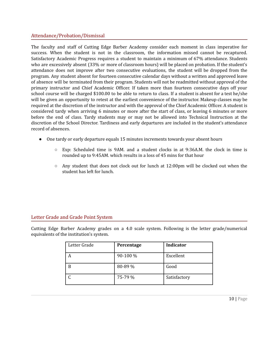## <span id="page-9-0"></span>Attendance/Probation/Dismissal

The faculty and staff of Cutting Edge Barber Academy consider each moment in class imperative for success. When the student is not in the classroom, the information missed cannot be recaptured. Satisfactory Academic Progress requires a student to maintain a minimum of 67% attendance. Students who are excessively absent (33% or more of classroom hours) will be placed on probation. If the student's attendance does not improve after two consecutive evaluations, the student will be dropped from the program. Any student absent for fourteen consecutive calendar days without a written and approved leave of absence will be terminated from their program. Students will not be readmitted without approval of the primary instructor and Chief Academic Officer. If taken more than fourteen consecutive days off your school course will be charged \$100.00 to be able to return to class. If a student is absent for a test he/she will be given an opportunity to retest at the earliest convenience of the instructor. Makeup classes may be required at the discretion of the instructor and with the approval of the Chief Academic Officer. A student is considered tardy when arriving 6 minutes or more after the start of class, or leaving 6 minutes or more before the end of class. Tardy students may or may not be allowed into Technical Instruction at the discretion of the School Director. Tardiness and early departures are included in the student's attendance record of absences.

- One tardy or early departure equals 15 minutes increments towards your absent hours
	- $\circ$  Exp: Scheduled time is 9AM. and a student clocks in at 9:36A.M. the clock in time is rounded up to 9:45AM. which results in a loss of 45 mins for that hour
	- $\circ$  Any student that does not clock out for lunch at 12:00pm will be clocked out when the student has left for lunch.

## <span id="page-9-1"></span>Letter Grade and Grade Point System

Cutting Edge Barber Academy grades on a 4.0 scale system. Following is the letter grade/numerical equivalents of the institution's system.

| Letter Grade | Percentage | <b>Indicator</b> |  |
|--------------|------------|------------------|--|
|              | 90-100 %   | Excellent        |  |
| B            | 80-89 %    | Good             |  |
|              | 75-79 %    | Satisfactory     |  |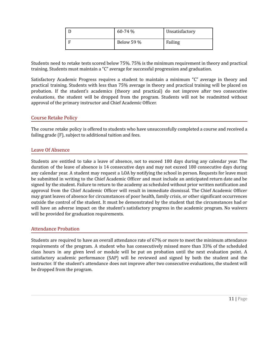| $60-74%$   | Unsatisfactory |
|------------|----------------|
| Below 59 % | Failing        |

Students need to retake tests scored below 75%. 75% is the minimum requirement in theory and practical training. Students must maintain a "C" average for successful progression and graduation.

Satisfactory Academic Progress requires a student to maintain a minimum "C" average in theory and practical training. Students with less than 75% average in theory and practical training will be placed on probation. If the student's academics (theory and practical) do not improve after two consecutive evaluations, the student will be dropped from the program. Students will not be readmitted without approval of the primary instructor and Chief Academic Officer.

## <span id="page-10-0"></span>Course Retake Policy

The course retake policy is offered to students who have unsuccessfully completed a course and received a failing grade (F), subject to additional tuition and fees.

## <span id="page-10-1"></span>Leave Of Absence

Students are entitled to take a leave of absence, not to exceed 180 days during any calendar year. The duration of the leave of absence is 14 consecutive days and may not exceed 180 consecutive days during any calendar year. A student may request a LOA by notifying the school in person. Requests for leave must be submitted in writing to the Chief Academic Officer and must include an anticipated return date and be signed by the student. Failure to return to the academy as scheduled without prior written notification and approval from the Chief Academic Officer will result in immediate dismissal. The Chief Academic Officer may grant leaves of absence for circumstances of poor health, family crisis, or other significant occurrences outside the control of the student. It must be demonstrated by the student that the circumstances had or will have an adverse impact on the student's satisfactory progress in the academic program. No waivers will be provided for graduation requirements.

## <span id="page-10-2"></span>Attendance Probation

Students are required to have an overall attendance rate of 67% or more to meet the minimum attendance requirements of the program. A student who has consecutively missed more than 33% of the scheduled class hours in any given level or module will be put on probation until the next evaluation point. A satisfactory academic performance (SAP) will be reviewed and signed by both the student and the instructor. If the student's attendance does not improve after two consecutive evaluations, the student will be dropped from the program.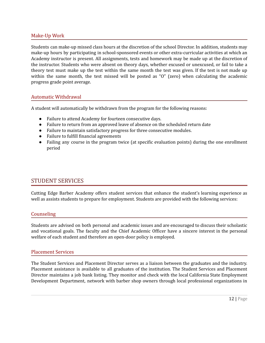## <span id="page-11-0"></span>Make-Up Work

Students can make-up missed class hours at the discretion of the school Director. In addition, students may make-up hours by participating in school-sponsored events or other extra-curricular activities at which an Academy instructor is present. All assignments, tests and homework may be made up at the discretion of the instructor. Students who were absent on theory days, whether excused or unexcused, or fail to take a theory test must make up the test within the same month the test was given. If the test is not made up within the same month, the test missed will be posted as "O" (zero) when calculating the academic progress grade point average.

## <span id="page-11-1"></span>Automatic Withdrawal

A student will automatically be withdrawn from the program for the following reasons:

- Failure to attend Academy for fourteen consecutive days.
- Failure to return from an approved leave of absence on the scheduled return date
- Failure to maintain satisfactory progress for three consecutive modules.
- Failure to fulfill financial agreements
- Failing any course in the program twice (at specific evaluation points) during the one enrollment period

## <span id="page-11-2"></span>STUDENT SERVICES

Cutting Edge Barber Academy offers student services that enhance the student's learning experience as well as assists students to prepare for employment. Students are provided with the following services:

## <span id="page-11-3"></span>Counseling

Students are advised on both personal and academic issues and are encouraged to discuss their scholastic and vocational goals. The faculty and the Chief Academic Officer have a sincere interest in the personal welfare of each student and therefore an open-door policy is employed.

#### <span id="page-11-4"></span>Placement Services

The Student Services and Placement Director serves as a liaison between the graduates and the industry. Placement assistance is available to all graduates of the institution. The Student Services and Placement Director maintains a job bank listing. They monitor and check with the local California State Employment Development Department, network with barber shop owners through local professional organizations in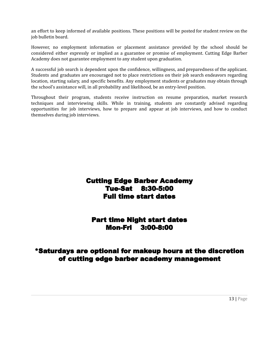an effort to keep informed of available positions. These positions will be posted for student review on the job bulletin board.

However, no employment information or placement assistance provided by the school should be considered either expressly or implied as a guarantee or promise of employment. Cutting Edge Barber Academy does not guarantee employment to any student upon graduation.

A successful job search is dependent upon the confidence, willingness, and preparedness of the applicant. Students and graduates are encouraged not to place restrictions on their job search endeavors regarding location, starting salary, and specific benefits. Any employment students or graduates may obtain through the school's assistance will, in all probability and likelihood, be an entry-level position.

Throughout their program, students receive instruction on resume preparation, market research techniques and interviewing skills. While in training, students are constantly advised regarding opportunities for job interviews, how to prepare and appear at job interviews, and how to conduct themselves during job interviews.

## Cutting Edge Barber Academy Tue-Sat 8:30-5:00 Full time start dates

## Part time Night start dates Mon-Fri 3:00-8:00

## <span id="page-12-0"></span>\*Saturdays are optional for makeup hours at the discretion of cutting edge barber academy management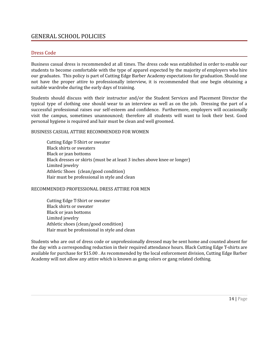## GENERAL SCHOOL POLICIES

## <span id="page-13-0"></span>Dress Code

Business casual dress is recommended at all times. The dress code was established in order to enable our students to become comfortable with the type of apparel expected by the majority of employers who hire our graduates. This policy is part of Cutting Edge Barber Academy expectations for graduation. Should one not have the proper attire to professionally interview, it is recommended that one begin obtaining a suitable wardrobe during the early days of training.

Students should discuss with their instructor and/or the Student Services and Placement Director the typical type of clothing one should wear to an interview as well as on the job. Dressing the part of a successful professional raises our self-esteem and confidence. Furthermore, employers will occasionally visit the campus, sometimes unannounced; therefore all students will want to look their best. Good personal hygiene is required and hair must be clean and well groomed.

#### BUSINESS CASUAL ATTIRE RECOMMENDED FOR WOMEN

Cutting Edge T-Shirt or sweater Black shirts or sweaters Black or jean bottoms Black dresses or skirts (must be at least 3 inches above knee or longer) Limited jewelry Athletic Shoes (clean/good condition) Hair must be professional in style and clean

## RECOMMENDED PROFESSIONAL DRESS ATTIRE FOR MEN

Cutting Edge T-Shirt or sweater Black shirts or sweater Black or jean bottoms Limited jewelry Athletic shoes (clean/good condition) Hair must be professional in style and clean

Students who are out of dress code or unprofessionally dressed may be sent home and counted absent for the day with a corresponding reduction in their required attendance hours. Black Cutting Edge T-shirts are available for purchase for \$15.00 . As recommended by the local enforcement division, Cutting Edge Barber Academy will not allow any attire which is known as gang colors or gang related clothing.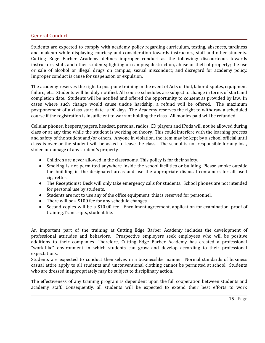## <span id="page-14-0"></span>General Conduct

Students are expected to comply with academy policy regarding curriculum, testing, absences, tardiness and makeup while displaying courtesy and consideration towards instructors, staff and other students. Cutting Edge Barber Academy defines improper conduct as the following: discourteous towards instructors, staff, and other students; fighting on campus; destruction, abuse or theft of property; the use or sale of alcohol or illegal drugs on campus; sexual misconduct; and disregard for academy policy. Improper conduct is cause for suspension or expulsion.

The academy reserves the right to postpone training in the event of Acts of God, labor disputes, equipment failure, etc. Students will be duly notified. All course schedules are subject to change in terms of start and completion date. Students will be notified and offered the opportunity to consent as provided by law. In cases where such change would cause undue hardship, a refund will be offered. The maximum postponement of a class start date is 90 days. The Academy reserves the right to withdraw a scheduled course if the registration is insufficient to warrant holding the class. All monies paid will be refunded.

Cellular phones, beepers/pagers, headset, personal radios, CD players and iPods will not be allowed during class or at any time while the student is working on theory. This could interfere with the learning process and safety of the student and/or others. Anyone in violation, the item may be kept by a school official until class is over or the student will be asked to leave the class. The school is not responsible for any lost, stolen or damage of any student's property.

- Children are never allowed in the classrooms. This policy is for their safety.
- Smoking is not permitted anywhere inside the school facilities or building. Please smoke outside the building in the designated areas and use the appropriate disposal containers for all used cigarettes.
- The Receptionist Desk will only take emergency calls for students. School phones are not intended for personal use by students.
- Students are not to use any of the office equipment, this is reserved for personnel.
- There will be a \$100 fee for any schedule changes.
- Second copies will be a \$10.00 fee. Enrollment agreement, application for examination, proof of training,Transcripts, student file.

An important part of the training at Cutting Edge Barber Academy includes the development of professional attitudes and behaviors. Prospective employers seek employees who will be positive additions to their companies. Therefore, Cutting Edge Barber Academy has created a professional "work-like" environment in which students can grow and develop according to their professional expectations.

Students are expected to conduct themselves in a businesslike manner. Normal standards of business casual attire apply to all students and unconventional clothing cannot be permitted at school. Students who are dressed inappropriately may be subject to disciplinary action.

The effectiveness of any training program is dependent upon the full cooperation between students and academy staff. Consequently, all students will be expected to extend their best efforts to work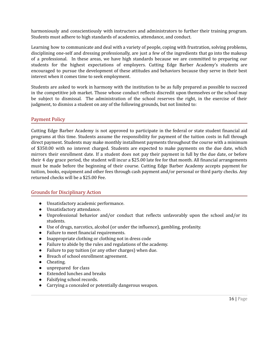harmoniously and conscientiously with instructors and administrators to further their training program. Students must adhere to high standards of academics, attendance, and conduct.

Learning how to communicate and deal with a variety of people, coping with frustration, solving problems, disciplining one-self and dressing professionally, are just a few of the ingredients that go into the makeup of a professional. In these areas, we have high standards because we are committed to preparing our students for the highest expectations of employers. Cutting Edge Barber Academy's students are encouraged to pursue the development of these attitudes and behaviors because they serve in their best interest when it comes time to seek employment.

Students are asked to work in harmony with the institution to be as fully prepared as possible to succeed in the competitive job market. Those whose conduct reflects discredit upon themselves or the school may be subject to dismissal. The administration of the school reserves the right, in the exercise of their judgment, to dismiss a student on any of the following grounds, but not limited to:

## <span id="page-15-0"></span>Payment Policy

Cutting Edge Barber Academy is not approved to participate in the federal or state student financial aid programs at this time. Students assume the responsibility for payment of the tuition costs in full through direct payment. Students may make monthly installment payments throughout the course with a minimum of \$350.00 with no interest charged. Students are expected to make payments on the due date, which mirrors their enrollment date. If a student does not pay their payment in full by the due date, or before their 4 day grace period, the student will incur a \$25.00 late fee for that month. All financial arrangements must be made before the beginning of their course. Cutting Edge Barber Academy accepts payment for tuition, books, equipment and other fees through cash payment and/or personal or third party checks. Any returned checks will be a \$25.00 Fee.

## <span id="page-15-1"></span>Grounds for Disciplinary Action

- Unsatisfactory academic performance.
- Unsatisfactory attendance.
- Unprofessional behavior and/or conduct that reflects unfavorably upon the school and/or its students.
- Use of drugs, narcotics, alcohol (or under the influence), gambling, profanity.
- Failure to meet financial requirements.
- Inappropriate clothing or clothing not in dress code
- *●* Failure to abide by the rules and regulations of the academy.
- Failure to pay tuition (or any other charges) when due.
- Breach of school enrollment agreement.
- Cheating.
- unprepared for class
- Extended lunches and breaks
- Falsifying school records.
- Carrying a concealed or potentially dangerous weapon.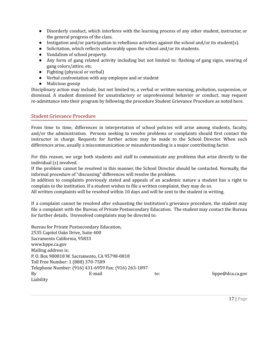- Disorderly conduct, which interferes with the learning process of any other student, instructor, or the general progress of the class.
- Instigation and/or participation in rebellious activities against the school and/or its student(s).
- Solicitation, which reflects unfavorably upon the school and/or its students.
- Vandalism of school property.
- Any form of gang related activity including but not limited to: flashing of gang signs, wearing of gang colors/attire, etc.
- Fighting (physical or verbal)
- Verbal confrontation with any employee and or student
- Malicious gossip

Disciplinary action may include, but not limited to, a verbal or written warning, probation, suspension, or dismissal. A student dismissed for unsatisfactory or unprofessional behavior or conduct, may request re-admittance into their program by following the procedure Student Grievance Procedure as noted here.

## <span id="page-16-0"></span>Student Grievance Procedure

From time to time, differences in interpretation of school policies will arise among students, faculty, and/or the administration. Persons seeking to resolve problems or complaints should first contact the instructor in charge. Requests for further action may be made to the School Director. When such differences arise, usually a miscommunication or misunderstanding is a major contributing factor.

For this reason, we urge both students and staff to communicate any problems that arise directly to the individual (s) involved.

If the problem cannot be resolved in this manner, the School Director should be contacted. Normally, the informal procedure of "discussing" differences will resolve the problem.

In addition to complaints previously stated and appeals of an academic nature a student has a right to complain to the institution. If a student wishes to file a written complaint, they may do so.

All written complaints will be resolved within 10 days and will be sent to the student in writing.

If a complaint cannot be resolved after exhausting the institution's grievance procedure, the student may file a complaint with the Bureau of Private Postsecondary Education. The student may contact the Bureau for further details. Unresolved complaints may be directed to:

Bureau for Private Postsecondary Education, 2535 Capitol Oaks Drive, Suite 400 Sacramento California, 95833 [www.bppe.ca.gov](http://www.bppe.ca.gov) Mailing address is: P. O. Box 980818 W. Sacramento, CA 95798-0818 Toll Free Number: 1 (888) 370-7589 Telephone Number: (916) 431-6959 Fax: (916) 263-1897 By Be-mail to: [bppe@dca.ca.gov](mailto:bppe@dca.ca.gov) Liability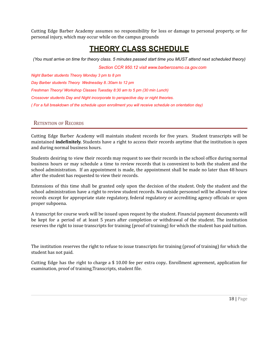Cutting Edge Barber Academy assumes no responsibility for loss or damage to personal property, or for personal injury, which may occur while on the campus grounds

# **THEORY CLASS SCHEDULE**

(You must arrive on time for theory class. 5 minutes passed start time you MUST attend next scheduled theory)

*Section CCR 950.12 visit www.barbercosmo.ca.gov.com*

*Night Barber students Theory Monday 3 pm to 8 pm Day Barber students Theory Wednesday 8.:30am to 12 pm Freshman Theory/ Workshop Classes Tuesday 8:30 am to 5 pm (30 min Lunch) Crossover students Day and Night incorporate to perspective day or night theories. ( For a full breakdown of the schedule upon enrollment you will receive schedule on orientation day)*

## <span id="page-17-0"></span>RETENTION OF RECORDS

Cutting Edge Barber Academy will maintain student records for five years. Student transcripts will be maintained **indefinitely.** Students have a right to access their records anytime that the institution is open and during normal business hours.

Students desiring to view their records may request to see their records in the school office during normal business hours or may schedule a time to review records that is convenient to both the student and the school administration. If an appointment is made, the appointment shall be made no later than 48 hours after the student has requested to view their records.

Extensions of this time shall be granted only upon the decision of the student. Only the student and the school administration have a right to review student records. No outside personnel will be allowed to view records except for appropriate state regulatory, federal regulatory or accrediting agency officials or upon proper subpoena.

A transcript for course work will be issued upon request by the student. Financial payment documents will be kept for a period of at least 5 years after completion or withdrawal of the student. The institution reserves the right to issue transcripts for training (proof of training) for which the student has paid tuition.

The institution reserves the right to refuse to issue transcripts for training (proof of training) for which the student has not paid.

Cutting Edge has the right to charge a \$ 10.00 fee per extra copy.. Enrollment agreement, application for examination, proof of training,Transcripts, student file.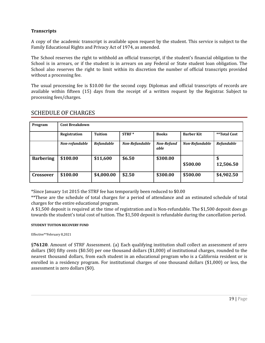## **Transcripts**

A copy of the academic transcript is available upon request by the student. This service is subject to the Family Educational Rights and Privacy Act of 1974, as amended.

The School reserves the right to withhold an official transcript, if the student's financial obligation to the School is in arrears, or if the student is in arrears on any Federal or State student loan obligation. The School also reserves the right to limit within its discretion the number of official transcripts provided without a processing fee.

The usual processing fee is \$10.00 for the second copy. Diplomas and official transcripts of records are available within fifteen (15) days from the receipt of a written request by the Registrar. Subject to processing fees/charges.

| Program          | <b>Cost Breakdown</b> |                   |                |                           |                       |                   |
|------------------|-----------------------|-------------------|----------------|---------------------------|-----------------------|-------------------|
|                  |                       |                   |                |                           |                       |                   |
|                  | Registration          | <b>Tuition</b>    | $STRF*$        | <b>Books</b>              | <b>Barber Kit</b>     | **Total Cost      |
|                  | Non-refundable        | <b>Refundable</b> | Non-Refundable | <b>Non-Refund</b><br>able | <b>Non-Refundable</b> | <b>Refundable</b> |
| <b>Barbering</b> | \$100.00              | \$11,600          | \$6.50         | \$300.00                  | \$500.00              | 12,506.50         |
| <b>Crossover</b> | \$100.00              | \$4,000.00        | \$2.50         | \$300.00                  | \$500.00              | \$4,902.50        |

## SCHEDULE OF CHARGES

\*Since January 1st 2015 the STRF fee has temporarily been reduced to \$0.00

\*\*These are the schedule of total charges for a period of attendance and an estimated schedule of total charges for the entire educational program.

A \$1,500 deposit is required at the time of registration and is Non-refundable. The \$1,500 deposit does go towards the student's total cost of tuition. The \$1,500 deposit is refundable during the cancellation period.

#### **STUDENT TUITION RECOVERY FUND**

Effective\*\*February 8,2021

§**76120**. Amount of STRF Assessment. (a) Each qualifying institution shall collect an assessment of zero dollars (\$0) fifty cents (\$0.50) per one thousand dollars (\$1,000) of institutional charges, rounded to the nearest thousand dollars, from each student in an educational program who is a California resident or is enrolled in a residency program. For institutional charges of one thousand dollars (\$1,000) or less, the assessment is zero dollars (\$0).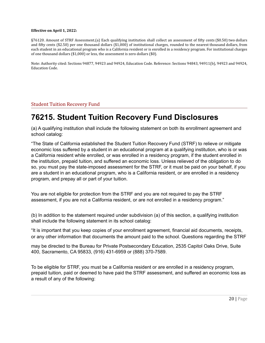#### **Effective on April 1, 2022:**

§76120. Amount of STRF Assessment.(a) Each qualifying institution shall collect an assessment of fifty cents (\$0.50) two dollars and fifty cents (\$2.50) per one thousand dollars (\$1,000) of institutional charges, rounded to the nearest thousand dollars, from each student in an educational program who is a California resident or is enrolled in a residency program. For institutional charges of one thousand dollars (\$1,000) or less, the assessment is zero dollars (\$0).

Note: Authority cited: Sections 94877, 94923 and 94924, Education Code. Reference: Sections 94843, 94911(b), 94923 and 94924, Education Code.

## <span id="page-19-0"></span>Student Tuition Recovery Fund

# **76215. Student Tuition Recovery Fund Disclosures**

(a) A qualifying institution shall include the following statement on both its enrollment agreement and school catalog:

"The State of California established the Student Tuition Recovery Fund (STRF) to relieve or mitigate economic loss suffered by a student in an educational program at a qualifying institution, who is or was a California resident while enrolled, or was enrolled in a residency program, if the student enrolled in the institution, prepaid tuition, and suffered an economic loss. Unless relieved of the obligation to do so, you must pay the state-imposed assessment for the STRF, or it must be paid on your behalf, if you are a student in an educational program, who is a California resident, or are enrolled in a residency program, and prepay all or part of your tuition.

You are not eligible for protection from the STRF and you are not required to pay the STRF assessment, if you are not a California resident, or are not enrolled in a residency program."

(b) In addition to the statement required under subdivision (a) of this section, a qualifying institution shall include the following statement in its school catalog:

"It is important that you keep copies of your enrollment agreement, financial aid documents, receipts, or any other information that documents the amount paid to the school. Questions regarding the STRF

may be directed to the Bureau for Private Postsecondary Education, 2535 Capitol Oaks Drive, Suite 400, Sacramento, CA 95833, (916) 431-6959 or (888) 370-7589.

To be eligible for STRF, you must be a California resident or are enrolled in a residency program, prepaid tuition, paid or deemed to have paid the STRF assessment, and suffered an economic loss as a result of any of the following: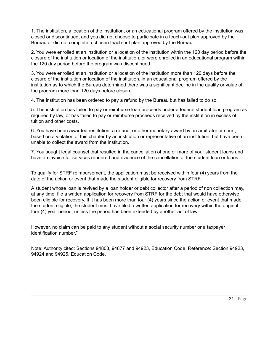1. The institution, a location of the institution, or an educational program offered by the institution was closed or discontinued, and you did not choose to participate in a teach-out plan approved by the Bureau or did not complete a chosen teach-out plan approved by the Bureau.

2. You were enrolled at an institution or a location of the institution within the 120 day period before the closure of the institution or location of the institution, or were enrolled in an educational program within the 120 day period before the program was discontinued.

3. You were enrolled at an institution or a location of the institution more than 120 days before the closure of the institution or location of the institution, in an educational program offered by the institution as to which the Bureau determined there was a significant decline in the quality or value of the program more than 120 days before closure.

4. The institution has been ordered to pay a refund by the Bureau but has failed to do so.

5. The institution has failed to pay or reimburse loan proceeds under a federal student loan program as required by law, or has failed to pay or reimburse proceeds received by the institution in excess of tuition and other costs.

6. You have been awarded restitution, a refund, or other monetary award by an arbitrator or court, based on a violation of this chapter by an institution or representative of an institution, but have been unable to collect the award from the institution.

7. You sought legal counsel that resulted in the cancellation of one or more of your student loans and have an invoice for services rendered and evidence of the cancellation of the student loan or loans.

To qualify for STRF reimbursement, the application must be received within four (4) years from the date of the action or event that made the student eligible for recovery from STRF.

A student whose loan is revived by a loan holder or debt collector after a period of non collection may, at any time, file a written application for recovery from STRF for the debt that would have otherwise been eligible for recovery. If it has been more than four (4) years since the action or event that made the student eligible, the student must have filed a written application for recovery within the original four (4) year period, unless the period has been extended by another act of law.

However, no claim can be paid to any student without a social security number or a taxpayer identification number."

<span id="page-20-0"></span>Note: Authority cited: Sections 94803, 94877 and 94923, Education Code. Reference: Section 94923, 94924 and 94925, Education Code.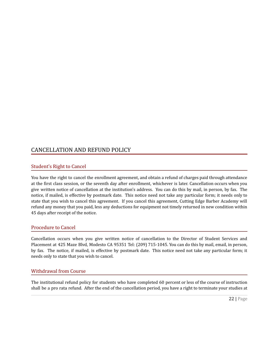## CANCELLATION AND REFUND POLICY

## <span id="page-21-0"></span>Student's Right to Cancel

You have the right to cancel the enrollment agreement, and obtain a refund of charges paid through attendance at the first class session, or the seventh day after enrollment, whichever is later. Cancellation occurs when you give written notice of cancellation at the institution's address. You can do this by mail, in person, by fax. The notice, if mailed, is effective by postmark date. This notice need not take any particular form; it needs only to state that you wish to cancel this agreement. If you cancel this agreement, Cutting Edge Barber Academy will refund any money that you paid, less any deductions for equipment not timely returned in new condition within 45 days after receipt of the notice.

## <span id="page-21-1"></span>Procedure to Cancel

Cancellation occurs when you give written notice of cancellation to the Director of Student Services and Placement at 425 Maze Blvd, Modesto CA 95351 Tel: (209) 715-1045. You can do this by mail, email, in person, by fax. The notice, if mailed, is effective by postmark date. This notice need not take any particular form; it needs only to state that you wish to cancel.

## <span id="page-21-2"></span>Withdrawal from Course

The institutional refund policy for students who have completed 60 percent or less of the course of instruction shall be a pro rata refund. After the end of the cancellation period, you have a right to terminate your studies at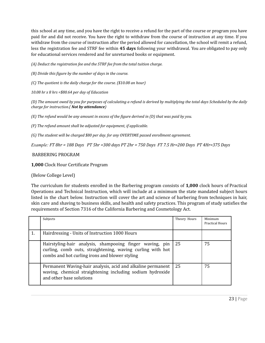this school at any time, and you have the right to receive a refund for the part of the course or program you have paid for and did not receive. You have the right to withdraw from the course of instruction at any time. If you withdraw from the course of instruction after the period allowed for cancellation, the school will remit a refund, less the registration fee and STRF fee within **45 days** following your withdrawal. You are obligated to pay only for educational services rendered and for unreturned books or equipment.

*(A) Deduct the registration fee and the STRF fee from the total tuition charge.*

*(B) Divide this figure by the number of days in the course.*

*(C) The quotient is the daily charge for the course. (\$10.08 an hour)*

*10.08 hr x 8 hrs =\$80.64 per day of Education*

(D) The amount owed by you for purposes of calculating a refund is derived by multiplying the total days Scheduled by the daily *charge for instruction.( Not by attendance)*

(E) The refund would be any amount in excess of the figure derived in (D) that was paid by you.

*(F) The refund amount shall be adjusted for equipment, if applicable.*

*(G) The student will be charged \$80 per day. for any OVERTIME passed enrollment agreement.*

*Example: FT 8hr = 188 Days PT 5hr =300 days PT 2hr = 750 Days FT 7.5 Hr=200 Days PT 4Hr=375 Days*

BARBERING PROGRAM

**1,000** Clock Hour Certificate Program

(Below College Level)

The curriculum for students enrolled in the Barbering program consists of **1,000** clock hours of Practical Operations and Technical Instruction, which will include at a minimum the state mandated subject hours listed in the chart below. Instruction will cover the art and science of barbering from techniques in hair, skin care and shaving to business skills, and health and safety practices. This program of study satisfies the requirements of Section 7316 of the California Barbering and Cosmetology Act.

|    | Subjects                                                                                                                                                                 | Theory Hours | Minimum<br><b>Practical Hours</b> |
|----|--------------------------------------------------------------------------------------------------------------------------------------------------------------------------|--------------|-----------------------------------|
| 1. | Hairdressing - Units of Instruction 1000 Hours                                                                                                                           |              |                                   |
|    | Hairstyling-hair analysis, shampooing finger waving, pin<br>curling, comb outs, straightening, waving curling with hot<br>combs and hot curling irons and blower styling | 25           | 75                                |
|    | Permanent Waving-hair analysis, acid and alkaline permanent<br>waving, chemical straightening including sodium hydroxide<br>and other base solutions                     | -25          | 75                                |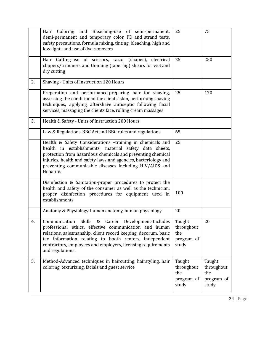|    | Coloring and Bleaching-use of semi-permanent,<br>Hair<br>demi-permanent and temporary color, PD and strand tests,<br>safety precautions, formula mixing, tinting, bleaching, high and<br>low lights and use of dye removers                                                                                                   | 25                                                 | 75                                                 |
|----|-------------------------------------------------------------------------------------------------------------------------------------------------------------------------------------------------------------------------------------------------------------------------------------------------------------------------------|----------------------------------------------------|----------------------------------------------------|
|    | Hair Cutting-use of scissors, razor (shaper), electrical<br>clippers/trimmers and thinning (tapering) shears for wet and<br>dry cutting                                                                                                                                                                                       | 25                                                 | 250                                                |
| 2. | Shaving - Units of Instruction 120 Hours                                                                                                                                                                                                                                                                                      |                                                    |                                                    |
|    | Preparation and performance-preparing hair for shaving,<br>assessing the condition of the clients' skin, performing shaving<br>techniques, applying aftershave antiseptic following facial<br>services, massaging the clients face, rolling cream massages                                                                    | 25                                                 | 170                                                |
| 3. | Health & Safety - Units of Instruction 200 Hours                                                                                                                                                                                                                                                                              |                                                    |                                                    |
|    | Law & Regulations-BBC Act and BBC rules and regulations                                                                                                                                                                                                                                                                       | 65                                                 |                                                    |
|    | Health & Safety Considerations -training in chemicals and<br>health in establishments, material safety data sheets,<br>protection from hazardous chemicals and preventing chemical<br>injuries, health and safety laws and agencies, bacteriology and<br>preventing communicable diseases including HIV/AIDS and<br>Hepatitis | 25                                                 |                                                    |
|    | Disinfection & Sanitation-proper procedures to protect the<br>health and safety of the consumer as well as the technician,<br>proper disinfection procedures for equipment used in<br>establishments                                                                                                                          | 100                                                |                                                    |
|    | Anatomy & Physiology-human anatomy, human physiology                                                                                                                                                                                                                                                                          | 20                                                 |                                                    |
| 4. | Communication Skills & Career Development-Includes<br>professional ethics, effective communication and human<br>relations, salesmanship, client record keeping, decorum, basic<br>tax information relating to booth renters, independent<br>contractors, employees and employers, licensing requirements<br>and regulations.  | Taught<br>throughout<br>the<br>program of<br>study | 20                                                 |
| 5. | Method-Advanced techniques in haircutting, hairstyling, hair<br>coloring, texturizing, facials and guest service                                                                                                                                                                                                              | Taught<br>throughout<br>the<br>program of<br>study | Taught<br>throughout<br>the<br>program of<br>study |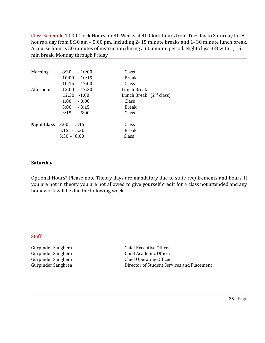Class Schedule 1,000 Clock Hours for 40 Weeks at 40 Clock hours from Tuesday to Saturday for 8 hours a day from 8:30 am – 5:00 pm. Including 2- 15 minute breaks and 1- 30 minute lunch break. A course hour is 50 minutes of instruction during a 60 minute period. Night class 3-8 with 1, 15 min break. Monday through Friday.

| Morning                   | 8:30           | $-10:00$        | Class                     |
|---------------------------|----------------|-----------------|---------------------------|
|                           |                | $10:00 - 10:15$ | <b>Break</b>              |
|                           |                | $10:15 - 12:00$ | Class                     |
| Afternoon                 |                | $12:00 - 12:30$ | Lunch Break               |
|                           | $12:30 - 1:00$ |                 | Lunch Break $(2nd class)$ |
|                           | $1:00 - 3:00$  |                 | Class                     |
|                           | $3:00 - 3:15$  |                 | <b>Break</b>              |
|                           | 3:15           | $-5:00$         | Class                     |
|                           |                |                 |                           |
| Night Class $3:00 - 5:15$ |                |                 | Class                     |
|                           | $5:15 - 5:30$  |                 | <b>Break</b>              |
|                           | $5:30 - 8:00$  |                 | Class                     |

## **Saturday**

Optional Hours\* Please note Theory days are mandatory due to state requirements and hours. If you are not in theory you are not allowed to give yourself credit for a class not attended and any homework will be due the following week.

## **Staff**

Gurpinder Sanghera Chief Executive Officer Gurpinder Sanghera Chief Academic Officer Gurpinder Sanghera Chief Operating Officer Gurpinder Sanghrea **Director of Student Services and Placement**